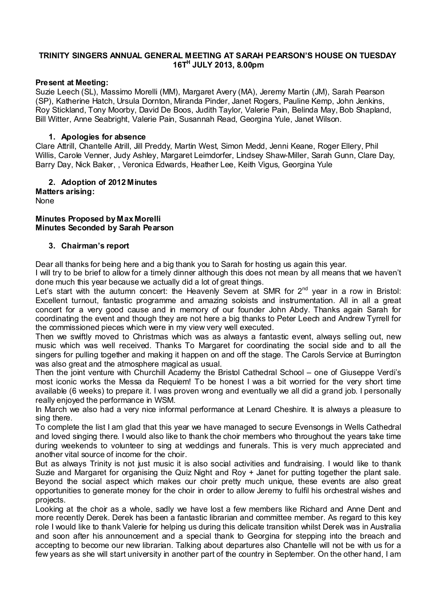#### **TRINITY SINGERS ANNUAL GENERAL MEETING AT SARAH PEARSON'S HOUSE ON TUESDAY 16TH JULY 2013, 8.00pm**

#### **Present at Meeting:**

Suzie Leech (SL), Massimo Morelli (MM), Margaret Avery (MA), Jeremy Martin (JM), Sarah Pearson (SP), Katherine Hatch, Ursula Dornton, Miranda Pinder, Janet Rogers, Pauline Kemp, John Jenkins, Roy Stickland, Tony Moorby, David De Boos, Judith Taylor, Valerie Pain, Belinda May, Bob Shapland, Bill Witter, Anne Seabright, Valerie Pain, Susannah Read, Georgina Yule, Janet Wilson.

#### **1. Apologies for absence**

Clare Attrill, Chantelle Atrill, Jill Preddy, Martin West, Simon Medd, Jenni Keane, Roger Ellery, Phil Willis, Carole Venner, Judy Ashley, Margaret Leimdorfer, Lindsey Shaw-Miller, Sarah Gunn, Clare Day, Barry Day, Nick Baker, , Veronica Edwards, Heather Lee, Keith Vigus, Georgina Yule

#### **2. Adoption of 2012 Minutes Matters arising:**

None

#### **Minutes Proposed by Max Morelli Minutes Seconded by Sarah Pearson**

#### **3. Chairman's report**

Dear all thanks for being here and a big thank you to Sarah for hosting us again this year.

I will try to be brief to allow for a timely dinner although this does not mean by all means that we haven't done much this year because we actually did a lot of great things.

Let's start with the autumn concert: the Heavenly Severn at SMR for  $2^{nd}$  year in a row in Bristol: Excellent turnout, fantastic programme and amazing soloists and instrumentation. All in all a great concert for a very good cause and in memory of our founder John Abdy. Thanks again Sarah for coordinating the event and though they are not here a big thanks to Peter Leech and Andrew Tyrrell for the commissioned pieces which were in my view very well executed.

Then we swiftly moved to Christmas which was as always a fantastic event, always selling out, new music which was well received. Thanks To Margaret for coordinating the social side and to all the singers for pulling together and making it happen on and off the stage. The Carols Service at Burrington was also great and the atmosphere magical as usual.

Then the joint venture with Churchill Academy the Bristol Cathedral School – one of Giuseppe Verdi's most iconic works the Messa da Requiem! To be honest I was a bit worried for the very short time available (6 weeks) to prepare it. I was proven wrong and eventually we all did a grand job. I personally really enjoyed the performance in WSM.

In March we also had a very nice informal performance at Lenard Cheshire. It is always a pleasure to sing there.

To complete the list I am glad that this year we have managed to secure Evensongs in Wells Cathedral and loved singing there. I would also like to thank the choir members who throughout the years take time during weekends to volunteer to sing at weddings and funerals. This is very much appreciated and another vital source of income for the choir.

But as always Trinity is not just music it is also social activities and fundraising. I would like to thank Suzie and Margaret for organising the Quiz Night and Roy + Janet for putting together the plant sale. Beyond the social aspect which makes our choir pretty much unique, these events are also great opportunities to generate money for the choir in order to allow Jeremy to fulfil his orchestral wishes and projects.

Looking at the choir as a whole, sadly we have lost a few members like Richard and Anne Dent and more recently Derek. Derek has been a fantastic librarian and committee member. As regard to this key role I would like to thank Valerie for helping us during this delicate transition whilst Derek was in Australia and soon after his announcement and a special thank to Georgina for stepping into the breach and accepting to become our new librarian. Talking about departures also Chantelle will not be with us for a few years as she will start university in another part of the country in September. On the other hand, I am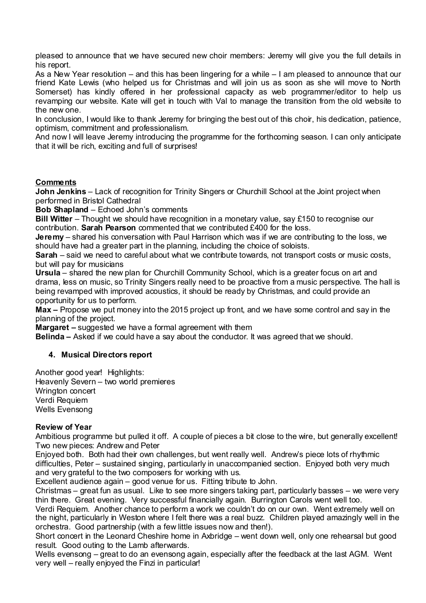pleased to announce that we have secured new choir members: Jeremy will give you the full details in his report.

As a New Year resolution – and this has been lingering for a while – I am pleased to announce that our friend Kate Lewis (who helped us for Christmas and will join us as soon as she will move to North Somerset) has kindly offered in her professional capacity as web programmer/editor to help us revamping our website. Kate will get in touch with Val to manage the transition from the old website to the new one.

In conclusion, I would like to thank Jeremy for bringing the best out of this choir, his dedication, patience, optimism, commitment and professionalism.

And now I will leave Jeremy introducing the programme for the forthcoming season. I can only anticipate that it will be rich, exciting and full of surprises!

## **Comments**

**John Jenkins** – Lack of recognition for Trinity Singers or Churchill School at the Joint project when performed in Bristol Cathedral

**Bob Shapland** – Echoed John's comments

**Bill Witter** – Thought we should have recognition in a monetary value, say £150 to recognise our contribution. **Sarah Pearson** commented that we contributed £400 for the loss.

**Jeremy** – shared his conversation with Paul Harrison which was if we are contributing to the loss, we should have had a greater part in the planning, including the choice of soloists.

**Sarah** – said we need to careful about what we contribute towards, not transport costs or music costs, but will pay for musicians

**Ursula** – shared the new plan for Churchill Community School, which is a greater focus on art and drama, less on music, so Trinity Singers really need to be proactive from a music perspective. The hall is being revamped with improved acoustics, it should be ready by Christmas, and could provide an opportunity for us to perform.

**Max –** Propose we put money into the 2015 project up front, and we have some control and say in the planning of the project.

**Margaret –** suggested we have a formal agreement with them

**Belinda –** Asked if we could have a say about the conductor. It was agreed that we should.

# **4. Musical Directors report**

Another good year! Highlights: Heavenly Severn – two world premieres Wrington concert Verdi Requiem Wells Evensong

#### **Review of Year**

Ambitious programme but pulled it off. A couple of pieces a bit close to the wire, but generally excellent! Two new pieces: Andrew and Peter

Enjoyed both. Both had their own challenges, but went really well. Andrew's piece lots of rhythmic difficulties, Peter – sustained singing, particularly in unaccompanied section. Enjoyed both very much and very grateful to the two composers for working with us.

Excellent audience again – good venue for us. Fitting tribute to John.

Christmas – great fun as usual. Like to see more singers taking part, particularly basses – we were very thin there. Great evening. Very successful financially again. Burrington Carols went well too.

Verdi Requiem. Another chance to perform a work we couldn't do on our own. Went extremely well on the night, particularly in Weston where I felt there was a real buzz. Children played amazingly well in the orchestra. Good partnership (with a few little issues now and then!).

Short concert in the Leonard Cheshire home in Axbridge – went down well, only one rehearsal but good result. Good outing to the Lamb afterwards.

Wells evensong – great to do an evensong again, especially after the feedback at the last AGM. Went very well – really enjoyed the Finzi in particular!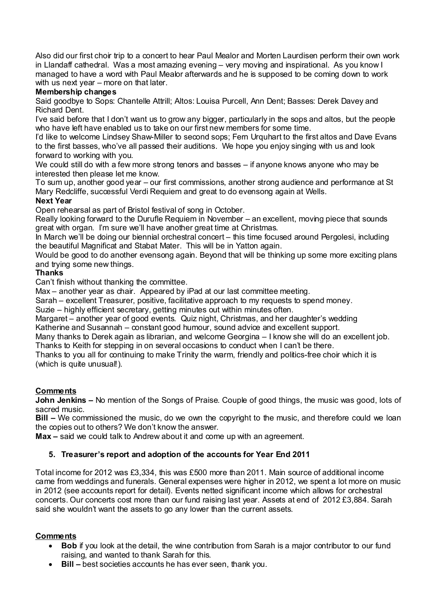Also did our first choir trip to a concert to hear Paul Mealor and Morten Laurdisen perform their own work in Llandaff cathedral. Was a most amazing evening – very moving and inspirational. As you know I managed to have a word with Paul Mealor afterwards and he is supposed to be coming down to work with us next year – more on that later.

#### **Membership changes**

Said goodbye to Sops: Chantelle Attrill; Altos: Louisa Purcell, Ann Dent; Basses: Derek Davey and Richard Dent.

I've said before that I don't want us to grow any bigger, particularly in the sops and altos, but the people who have left have enabled us to take on our first new members for some time.

I'd like to welcome Lindsey Shaw-Miller to second sops; Fem Urquhart to the first altos and Dave Evans to the first basses, who've all passed their auditions. We hope you enjoy singing with us and look forward to working with you.

We could still do with a few more strong tenors and basses – if anyone knows anyone who may be interested then please let me know.

To sum up, another good year – our first commissions, another strong audience and performance at St Mary Redcliffe, successful Verdi Requiem and great to do evensong again at Wells.

# **Next Year**

Open rehearsal as part of Bristol festival of song in October.

Really looking forward to the Durufle Requiem in November – an excellent, moving piece that sounds great with organ. I'm sure we'll have another great time at Christmas.

In March we'll be doing our biennial orchestral concert – this time focused around Pergolesi, including the beautiful Magnificat and Stabat Mater. This will be in Yatton again.

Would be good to do another evensong again. Beyond that will be thinking up some more exciting plans and trying some new things.

## **Thanks**

Can't finish without thanking the committee.

Max – another year as chair. Appeared by iPad at our last committee meeting.

Sarah – excellent Treasurer, positive, facilitative approach to my requests to spend money.

Suzie – highly efficient secretary, getting minutes out within minutes often.

Margaret – another year of good events. Quiz night, Christmas, and her daughter's wedding Katherine and Susannah – constant good humour, sound advice and excellent support.

Many thanks to Derek again as librarian, and welcome Georgina – I know she will do an excellent job. Thanks to Keith for stepping in on several occasions to conduct when I can't be there.

Thanks to you all for continuing to make Trinity the warm, friendly and politics-free choir which it is

(which is quite unusual!).

#### **Comments**

**John Jenkins –** No mention of the Songs of Praise. Couple of good things, the music was good, lots of sacred music.

**Bill –** We commissioned the music, do we own the copyright to the music, and therefore could we loan the copies out to others? We don't know the answer.

**Max –** said we could talk to Andrew about it and come up with an agreement.

# **5. Treasurer's report and adoption of the accounts for Year End 2011**

Total income for 2012 was £3,334, this was £500 more than 2011. Main source of additional income came from weddings and funerals. General expenses were higher in 2012, we spent a lot more on music in 2012 (see accounts report for detail). Events netted significant income which allows for orchestral concerts. Our concerts cost more than our fund raising last year. Assets at end of 2012 £3,884. Sarah said she wouldn't want the assets to go any lower than the current assets.

# **Comments**

- **Bob** if you look at the detail, the wine contribution from Sarah is a major contributor to our fund raising, and wanted to thank Sarah for this.
- **Bill –** best societies accounts he has ever seen, thank you.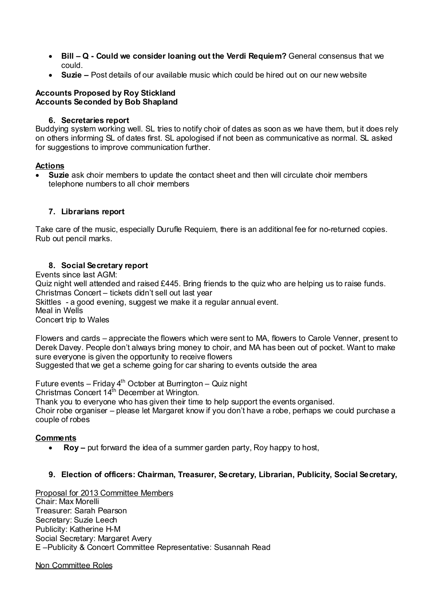- **Bill – Q - Could we consider loaning out the Verdi Requiem?** General consensus that we could.
- **Suzie –** Post details of our available music which could be hired out on our new website

#### **Accounts Proposed by Roy Stickland Accounts Seconded by Bob Shapland**

#### **6. Secretaries report**

Buddying system working well. SL tries to notify choir of dates as soon as we have them, but it does rely on others informing SL of dates first. SL apologised if not been as communicative as normal. SL asked for suggestions to improve communication further.

## **Actions**

• **Suzie** ask choir members to update the contact sheet and then will circulate choir members telephone numbers to all choir members

## **7. Librarians report**

Take care of the music, especially Durufle Requiem, there is an additional fee for no-returned copies. Rub out pencil marks.

# **8. Social Secretary report**

Events since last AGM:

Quiz night well attended and raised £445. Bring friends to the quiz who are helping us to raise funds. Christmas Concert – tickets didn't sell out last year

Skittles - a good evening, suggest we make it a regular annual event.

Meal in Wells

Concert trip to Wales

Flowers and cards – appreciate the flowers which were sent to MA, flowers to Carole Venner, present to Derek Davey. People don't always bring money to choir, and MA has been out of pocket. Want to make sure everyone is given the opportunity to receive flowers

Suggested that we get a scheme going for car sharing to events outside the area

Future events – Friday  $4<sup>th</sup>$  October at Burrington – Quiz night Christmas Concert 14<sup>th</sup> December at Wrington. Thank you to everyone who has given their time to help support the events organised. Choir robe organiser – please let Margaret know if you don't have a robe, perhaps we could purchase a couple of robes

#### **Comments**

• **Roy –** put forward the idea of a summer garden party, Roy happy to host,

# **9. Election of officers: Chairman, Treasurer, Secretary, Librarian, Publicity, Social Secretary,**

Proposal for 2013 Committee Members Chair: Max Morelli Treasurer: Sarah Pearson

Secretary: Suzie Leech Publicity: Katherine H-M Social Secretary: Margaret Avery E –Publicity & Concert Committee Representative: Susannah Read

Non Committee Roles